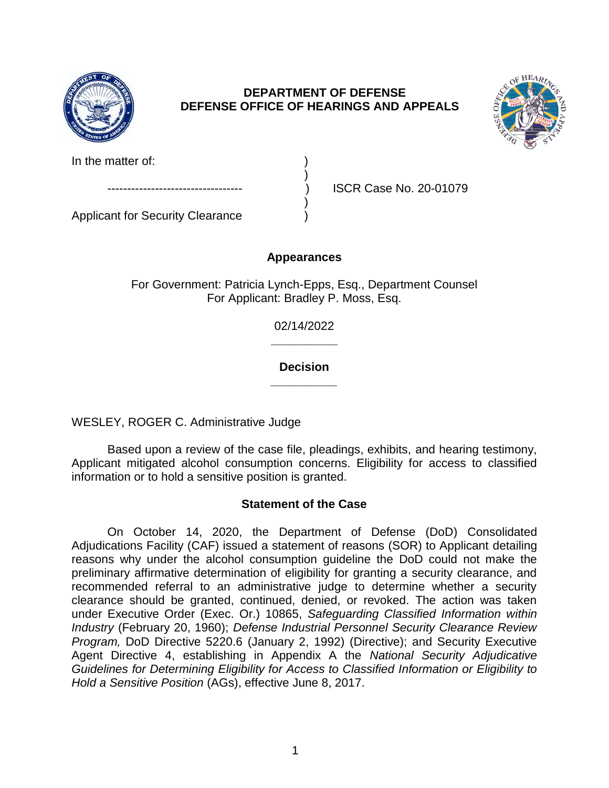

# **DEPARTMENT OF DEFENSE DEFENSE OFFICE OF HEARINGS AND APPEALS**



In the matter of:

Applicant for Security Clearance )

ISCR Case No. 20-01079

# **Appearances**

)

)

For Government: Patricia Lynch-Epps, Esq., Department Counsel For Applicant: Bradley P. Moss, Esq.

> **\_\_\_\_\_\_\_\_\_\_**  02/14/2022

> **\_\_\_\_\_\_\_\_\_\_ Decision**

WESLEY, ROGER C. Administrative Judge

 Based upon a review of the case file, pleadings, exhibits, and hearing testimony, Applicant mitigated alcohol consumption concerns. Eligibility for access to classified information or to hold a sensitive position is granted.

# **Statement of the Case**

 On October 14, 2020, the Department of Defense (DoD) Consolidated Adjudications Facility (CAF) issued a statement of reasons (SOR) to Applicant detailing reasons why under the alcohol consumption guideline the DoD could not make the preliminary affirmative determination of eligibility for granting a security clearance, and recommended referral to an administrative judge to determine whether a security clearance should be granted, continued, denied, or revoked. The action was taken *Industry* (February 20, 1960); *Defense Industrial Personnel Security Clearance Review Program,* DoD Directive 5220.6 (January 2, 1992) (Directive); and Security Executive Agent Directive 4, establishing in Appendix A the *National Security Adjudicative Guidelines for Determining Eligibility for Access to Classified Information or Eligibility to*  under Executive Order (Exec. Or.) 10865, *Safeguarding Classified Information within Hold a Sensitive Position* (AGs), effective June 8, 2017.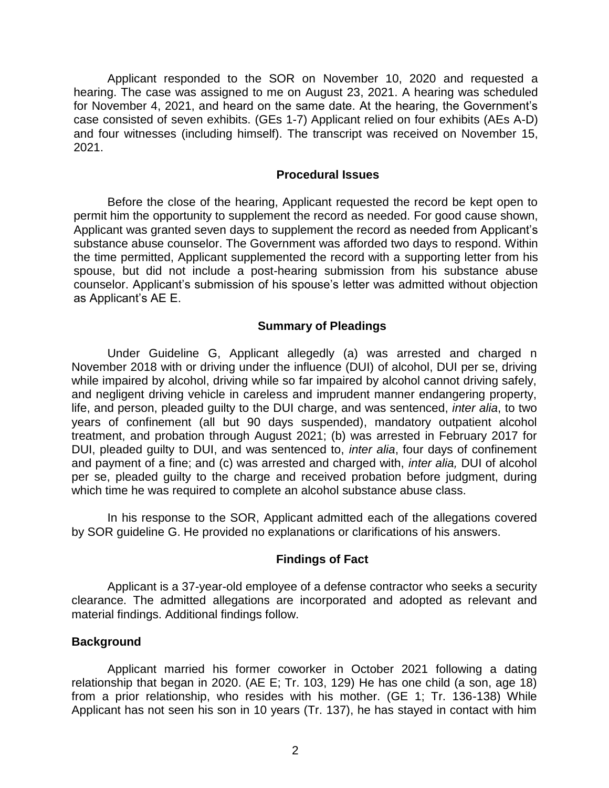Applicant responded to the SOR on November 10, 2020 and requested a hearing. The case was assigned to me on August 23, 2021. A hearing was scheduled for November 4, 2021, and heard on the same date. At the hearing, the Government's case consisted of seven exhibits. (GEs 1-7) Applicant relied on four exhibits (AEs A-D) and four witnesses (including himself). The transcript was received on November 15, 2021.

#### **Procedural Issues**

 Before the close of the hearing, Applicant requested the record be kept open to permit him the opportunity to supplement the record as needed. For good cause shown, Applicant was granted seven days to supplement the record as needed from Applicant's substance abuse counselor. The Government was afforded two days to respond. Within the time permitted, Applicant supplemented the record with a supporting letter from his spouse, but did not include a post-hearing submission from his substance abuse as Applicant's AE E. counselor. Applicant's submission of his spouse's letter was admitted without objection

### **Summary of Pleadings**

 Under Guideline G, Applicant allegedly (a) was arrested and charged n November 2018 with or driving under the influence (DUI) of alcohol, DUI per se, driving while impaired by alcohol, driving while so far impaired by alcohol cannot driving safely, and negligent driving vehicle in careless and imprudent manner endangering property, life, and person, pleaded guilty to the DUI charge, and was sentenced, *inter alia*, to two years of confinement (all but 90 days suspended), mandatory outpatient alcohol treatment, and probation through August 2021; (b) was arrested in February 2017 for DUI, pleaded guilty to DUI, and was sentenced to, *inter alia*, four days of confinement and payment of a fine; and (c) was arrested and charged with, *inter alia,* DUI of alcohol per se, pleaded guilty to the charge and received probation before judgment, during which time he was required to complete an alcohol substance abuse class.

 In his response to the SOR, Applicant admitted each of the allegations covered by SOR guideline G. He provided no explanations or clarifications of his answers.

#### **Findings of Fact**

 clearance. The admitted allegations are incorporated and adopted as relevant and Applicant is a 37-year-old employee of a defense contractor who seeks a security material findings. Additional findings follow.

#### **Background**

 Applicant married his former coworker in October 2021 following a dating relationship that began in 2020. (AE E; Tr. 103, 129) He has one child (a son, age 18) from a prior relationship, who resides with his mother. (GE 1; Tr. 136-138) While Applicant has not seen his son in 10 years (Tr. 137), he has stayed in contact with him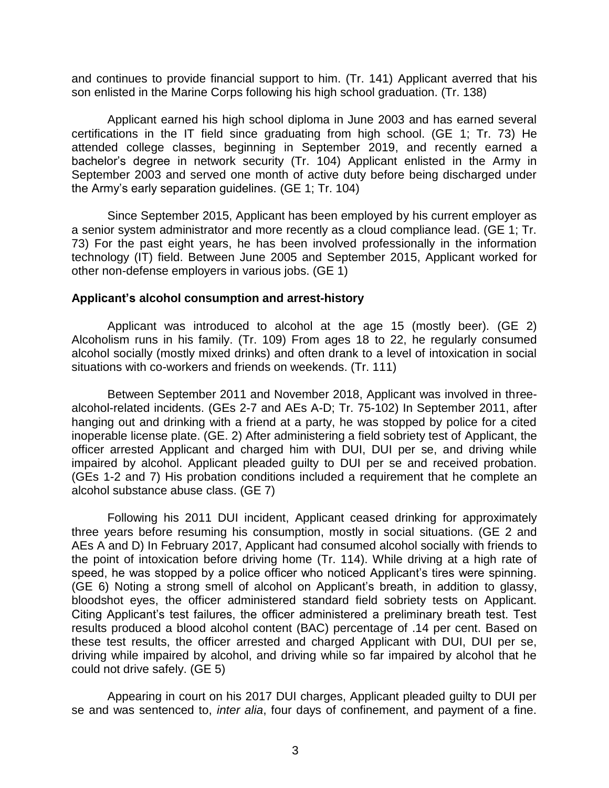and continues to provide financial support to him. (Tr. 141) Applicant averred that his son enlisted in the Marine Corps following his high school graduation. (Tr. 138)

 Applicant earned his high school diploma in June 2003 and has earned several certifications in the IT field since graduating from high school. (GE 1; Tr. 73) He attended college classes, beginning in September 2019, and recently earned a bachelor's degree in network security (Tr. 104) Applicant enlisted in the Army in September 2003 and served one month of active duty before being discharged under the Army's early separation guidelines. (GE 1; Tr. 104)

Since September 2015, Applicant has been employed by his current employer as a senior system administrator and more recently as a cloud compliance lead. (GE 1; Tr. 73) For the past eight years, he has been involved professionally in the information technology (IT) field. Between June 2005 and September 2015, Applicant worked for other non-defense employers in various jobs. (GE 1)

### **Applicant's alcohol consumption and arrest-history**

 Applicant was introduced to alcohol at the age 15 (mostly beer). (GE 2) Alcoholism runs in his family. (Tr. 109) From ages 18 to 22, he regularly consumed alcohol socially (mostly mixed drinks) and often drank to a level of intoxication in social situations with co-workers and friends on weekends. (Tr. 111)

 Between September 2011 and November 2018, Applicant was involved in three- alcohol-related incidents. (GEs 2-7 and AEs A-D; Tr. 75-102) In September 2011, after hanging out and drinking with a friend at a party, he was stopped by police for a cited officer arrested Applicant and charged him with DUI, DUI per se, and driving while impaired by alcohol. Applicant pleaded guilty to DUI per se and received probation. (GEs 1-2 and 7) His probation conditions included a requirement that he complete an inoperable license plate. (GE. 2) After administering a field sobriety test of Applicant, the alcohol substance abuse class. (GE 7)

 Following his 2011 DUI incident, Applicant ceased drinking for approximately three years before resuming his consumption, mostly in social situations. (GE 2 and AEs A and D) In February 2017, Applicant had consumed alcohol socially with friends to the point of intoxication before driving home (Tr. 114). While driving at a high rate of speed, he was stopped by a police officer who noticed Applicant's tires were spinning. (GE 6) Noting a strong smell of alcohol on Applicant's breath, in addition to glassy, bloodshot eyes, the officer administered standard field sobriety tests on Applicant. Citing Applicant's test failures, the officer administered a preliminary breath test. Test results produced a blood alcohol content (BAC) percentage of .14 per cent. Based on these test results, the officer arrested and charged Applicant with DUI, DUI per se, driving while impaired by alcohol, and driving while so far impaired by alcohol that he could not drive safely. (GE 5)

 Appearing in court on his 2017 DUI charges, Applicant pleaded guilty to DUI per se and was sentenced to, *inter alia*, four days of confinement, and payment of a fine.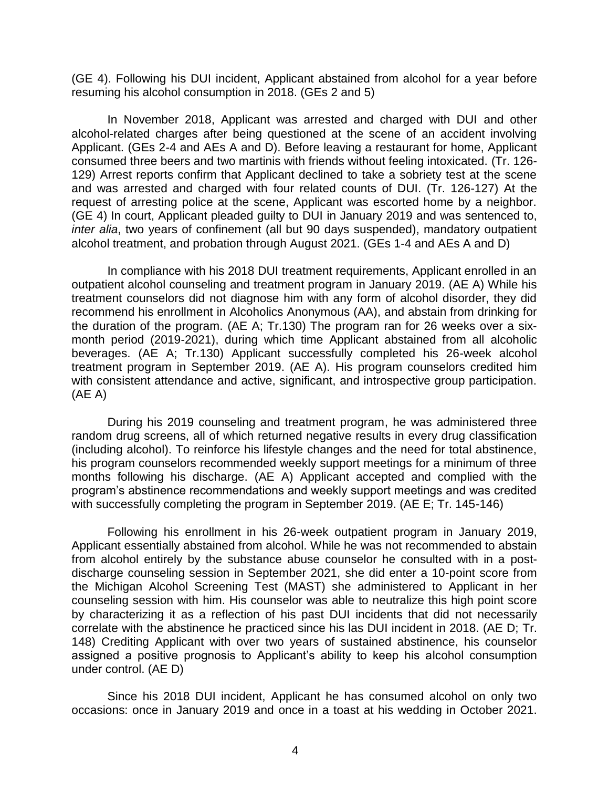(GE 4). Following his DUI incident, Applicant abstained from alcohol for a year before resuming his alcohol consumption in 2018. (GEs 2 and 5)

In November 2018, Applicant was arrested and charged with DUI and other alcohol-related charges after being questioned at the scene of an accident involving Applicant. (GEs 2-4 and AEs A and D). Before leaving a restaurant for home, Applicant consumed three beers and two martinis with friends without feeling intoxicated. (Tr. 126- 129) Arrest reports confirm that Applicant declined to take a sobriety test at the scene and was arrested and charged with four related counts of DUI. (Tr. 126-127) At the request of arresting police at the scene, Applicant was escorted home by a neighbor. (GE 4) In court, Applicant pleaded guilty to DUI in January 2019 and was sentenced to, *inter alia*, two years of confinement (all but 90 days suspended), mandatory outpatient alcohol treatment, and probation through August 2021. (GEs 1-4 and AEs A and D)

 In compliance with his 2018 DUI treatment requirements, Applicant enrolled in an outpatient alcohol counseling and treatment program in January 2019. (AE A) While his treatment counselors did not diagnose him with any form of alcohol disorder, they did recommend his enrollment in Alcoholics Anonymous (AA), and abstain from drinking for the duration of the program. (AE A; Tr.130) The program ran for 26 weeks over a six- month period (2019-2021), during which time Applicant abstained from all alcoholic beverages. (AE A; Tr.130) Applicant successfully completed his 26-week alcohol treatment program in September 2019. (AE A). His program counselors credited him with consistent attendance and active, significant, and introspective group participation. (AE A)

 During his 2019 counseling and treatment program, he was administered three random drug screens, all of which returned negative results in every drug classification (including alcohol). To reinforce his lifestyle changes and the need for total abstinence, his program counselors recommended weekly support meetings for a minimum of three months following his discharge. (AE A) Applicant accepted and complied with the program's abstinence recommendations and weekly support meetings and was credited with successfully completing the program in September 2019. (AE E; Tr. 145-146)

Following his enrollment in his 26-week outpatient program in January 2019, Applicant essentially abstained from alcohol. While he was not recommended to abstain from alcohol entirely by the substance abuse counselor he consulted with in a postdischarge counseling session in September 2021, she did enter a 10-point score from the Michigan Alcohol Screening Test (MAST) she administered to Applicant in her counseling session with him. His counselor was able to neutralize this high point score by characterizing it as a reflection of his past DUI incidents that did not necessarily correlate with the abstinence he practiced since his las DUI incident in 2018. (AE D; Tr. 148) Crediting Applicant with over two years of sustained abstinence, his counselor assigned a positive prognosis to Applicant's ability to keep his alcohol consumption under control. (AE D)

 Since his 2018 DUI incident, Applicant he has consumed alcohol on only two occasions: once in January 2019 and once in a toast at his wedding in October 2021.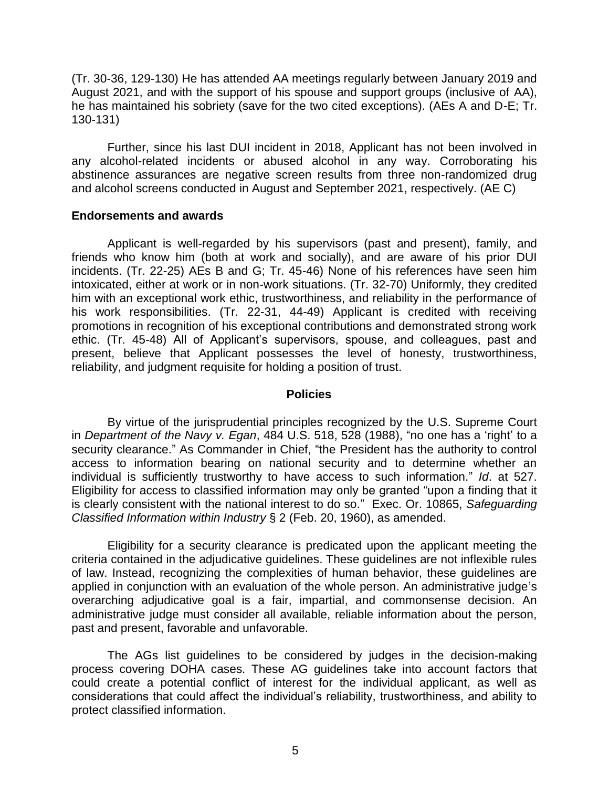(Tr. 30-36, 129-130) He has attended AA meetings regularly between January 2019 and August 2021, and with the support of his spouse and support groups (inclusive of AA), he has maintained his sobriety (save for the two cited exceptions). (AEs A and D-E; Tr. 130-131)

 Further, since his last DUI incident in 2018, Applicant has not been involved in any alcohol-related incidents or abused alcohol in any way. Corroborating his abstinence assurances are negative screen results from three non-randomized drug and alcohol screens conducted in August and September 2021, respectively. (AE C)

### **Endorsements and awards**

 Applicant is well-regarded by his supervisors (past and present), family, and friends who know him (both at work and socially), and are aware of his prior DUI incidents. (Tr. 22-25) AEs B and G; Tr. 45-46) None of his references have seen him him with an exceptional work ethic, trustworthiness, and reliability in the performance of his work responsibilities. (Tr. 22-31, 44-49) Applicant is credited with receiving promotions in recognition of his exceptional contributions and demonstrated strong work ethic. (Tr. 45-48) All of Applicant's supervisors, spouse, and colleagues, past and present, believe that Applicant possesses the level of honesty, trustworthiness, intoxicated, either at work or in non-work situations. (Tr. 32-70) Uniformly, they credited reliability, and judgment requisite for holding a position of trust.

#### **Policies**

 By virtue of the jurisprudential principles recognized by the U.S. Supreme Court  in *Department of the Navy v. Egan*, 484 U.S. 518, 528 (1988), "no one has a 'right' to a security clearance." As Commander in Chief, "the President has the authority to control access to information bearing on national security and to determine whether an individual is sufficiently trustworthy to have access to such information." *Id*. at 527. Eligibility for access to classified information may only be granted "upon a finding that it is clearly consistent with the national interest to do so." Exec. Or. 10865, *Safeguarding*  Classified Information within Industry § 2 (Feb. 20, 1960), as amended.

*Classified Information within Industry* § 2 (Feb. 20, 1960), as amended.<br>Eligibility for a security clearance is predicated upon the applicant meeting the criteria contained in the adjudicative guidelines. These guidelines are not inflexible rules of law. Instead, recognizing the complexities of human behavior, these guidelines are applied in conjunction with an evaluation of the whole person. An administrative judge's overarching adjudicative goal is a fair, impartial, and commonsense decision. An administrative judge must consider all available, reliable information about the person, past and present, favorable and unfavorable.

 The AGs list guidelines to be considered by judges in the decision-making process covering DOHA cases. These AG guidelines take into account factors that could create a potential conflict of interest for the individual applicant, as well as considerations that could affect the individual's reliability, trustworthiness, and ability to protect classified information.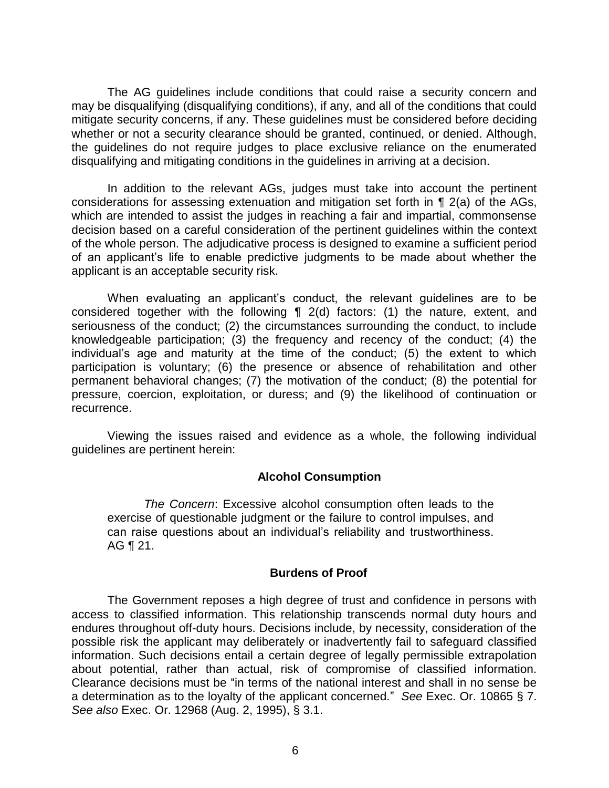The AG guidelines include conditions that could raise a security concern and may be disqualifying (disqualifying conditions), if any, and all of the conditions that could mitigate security concerns, if any. These guidelines must be considered before deciding whether or not a security clearance should be granted, continued, or denied. Although, the guidelines do not require judges to place exclusive reliance on the enumerated disqualifying and mitigating conditions in the guidelines in arriving at a decision.

 In addition to the relevant AGs, judges must take into account the pertinent considerations for assessing extenuation and mitigation set forth in ¶ 2(a) of the AGs, which are intended to assist the judges in reaching a fair and impartial, commonsense decision based on a careful consideration of the pertinent guidelines within the context of an applicant's life to enable predictive judgments to be made about whether the of the whole person. The adjudicative process is designed to examine a sufficient period applicant is an acceptable security risk.

 When evaluating an applicant's conduct, the relevant guidelines are to be considered together with the following ¶ 2(d) factors: (1) the nature, extent, and seriousness of the conduct; (2) the circumstances surrounding the conduct, to include knowledgeable participation; (3) the frequency and recency of the conduct; (4) the individual's age and maturity at the time of the conduct; (5) the extent to which participation is voluntary; (6) the presence or absence of rehabilitation and other permanent behavioral changes; (7) the motivation of the conduct; (8) the potential for pressure, coercion, exploitation, or duress; and (9) the likelihood of continuation or recurrence.

 Viewing the issues raised and evidence as a whole, the following individual guidelines are pertinent herein:

### **Alcohol Consumption**

 exercise of questionable judgment or the failure to control impulses, and can raise questions about an individual's reliability and trustworthiness.  *The Concern*: Excessive alcohol consumption often leads to the AG ¶ 21.

### **Burdens of Proof**

 The Government reposes a high degree of trust and confidence in persons with access to classified information. This relationship transcends normal duty hours and endures throughout off-duty hours. Decisions include, by necessity, consideration of the possible risk the applicant may deliberately or inadvertently fail to safeguard classified information. Such decisions entail a certain degree of legally permissible extrapolation about potential, rather than actual, risk of compromise of classified information. Clearance decisions must be "in terms of the national interest and shall in no sense be a determination as to the loyalty of the applicant concerned." *See* Exec. Or. 10865 § 7. *See also* Exec. Or. 12968 (Aug. 2, 1995), § 3.1.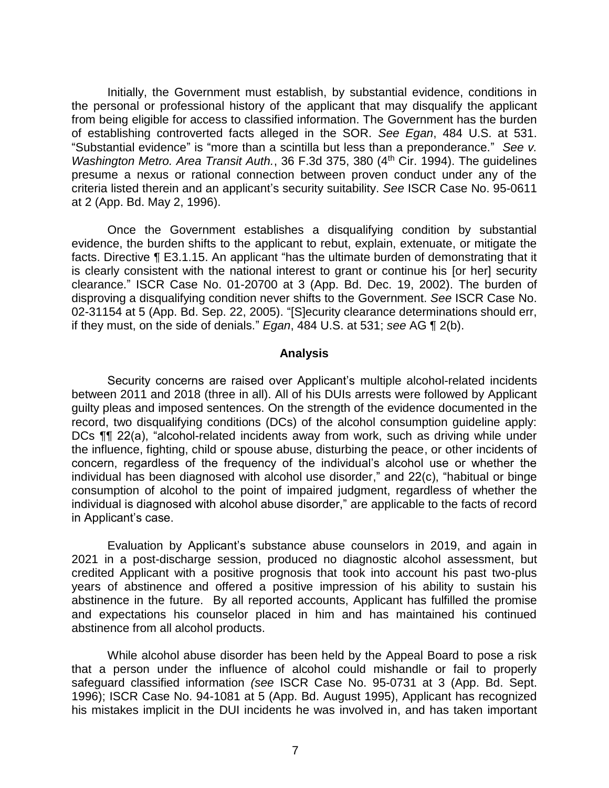Initially, the Government must establish, by substantial evidence, conditions in the personal or professional history of the applicant that may disqualify the applicant from being eligible for access to classified information. The Government has the burden of establishing controverted facts alleged in the SOR. *See Egan*, 484 U.S. at 531. "Substantial evidence" is "more than a scintilla but less than a preponderance." *See v. Washington Metro. Area Transit Auth.*, 36 F.3d 375, 380 (4<sup>th</sup> Cir. 1994). The quidelines presume a nexus or rational connection between proven conduct under any of the criteria listed therein and an applicant's security suitability. *See* ISCR Case No. 95-0611 at 2 (App. Bd. May 2, 1996).

 Once the Government establishes a disqualifying condition by substantial evidence, the burden shifts to the applicant to rebut, explain, extenuate, or mitigate the facts. Directive ¶ E3.1.15. An applicant "has the ultimate burden of demonstrating that it is clearly consistent with the national interest to grant or continue his [or her] security clearance." ISCR Case No. 01-20700 at 3 (App. Bd. Dec. 19, 2002). The burden of disproving a disqualifying condition never shifts to the Government. *See* ISCR Case No. 02-31154 at 5 (App. Bd. Sep. 22, 2005). "[S]ecurity clearance determinations should err, if they must, on the side of denials." *Egan*, 484 U.S. at 531; *see* AG ¶ 2(b).

#### **Analysis**

 Security concerns are raised over Applicant's multiple alcohol-related incidents between 2011 and 2018 (three in all). All of his DUIs arrests were followed by Applicant guilty pleas and imposed sentences. On the strength of the evidence documented in the record, two disqualifying conditions (DCs) of the alcohol consumption guideline apply: DCs ¶¶ 22(a), "alcohol-related incidents away from work, such as driving while under the influence, fighting, child or spouse abuse, disturbing the peace, or other incidents of concern, regardless of the frequency of the individual's alcohol use or whether the individual has been diagnosed with alcohol use disorder," and 22(c), "habitual or binge consumption of alcohol to the point of impaired judgment, regardless of whether the individual is diagnosed with alcohol abuse disorder," are applicable to the facts of record in Applicant's case.

 Evaluation by Applicant's substance abuse counselors in 2019, and again in 2021 in a post-discharge session, produced no diagnostic alcohol assessment, but credited Applicant with a positive prognosis that took into account his past two-plus years of abstinence and offered a positive impression of his ability to sustain his abstinence in the future. By all reported accounts, Applicant has fulfilled the promise and expectations his counselor placed in him and has maintained his continued abstinence from all alcohol products.

 While alcohol abuse disorder has been held by the Appeal Board to pose a risk that a person under the influence of alcohol could mishandle or fail to properly safeguard classified information *(see* ISCR Case No. 95-0731 at 3 (App. Bd. Sept. 1996); ISCR Case No. 94-1081 at 5 (App. Bd. August 1995), Applicant has recognized his mistakes implicit in the DUI incidents he was involved in, and has taken important